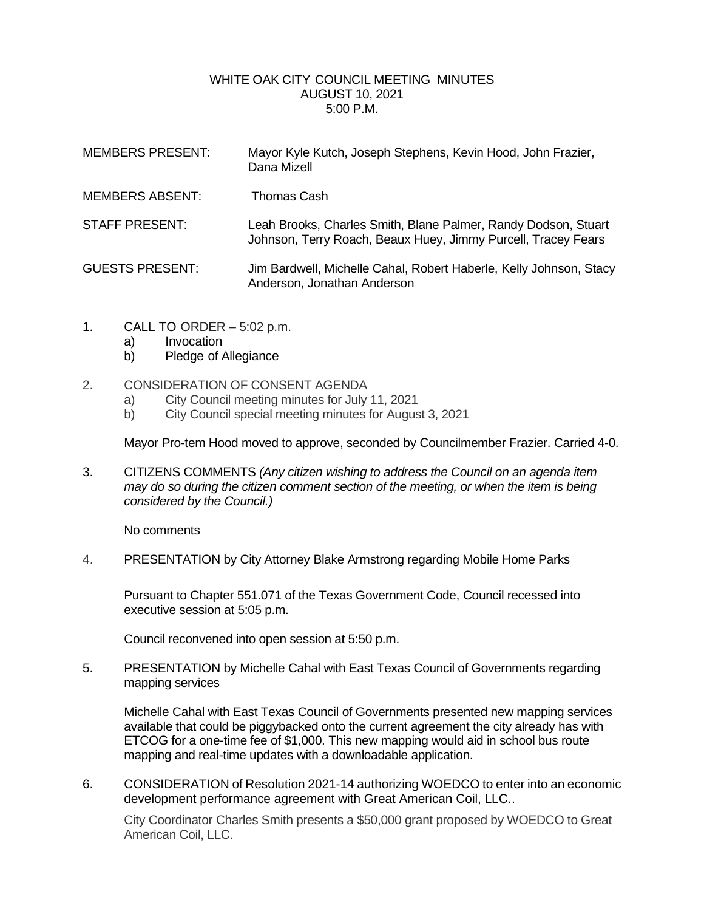## WHITE OAK CITY COUNCIL MEETING MINUTES AUGUST 10, 2021 5:00 P.M.

| <b>MEMBERS PRESENT:</b> | Mayor Kyle Kutch, Joseph Stephens, Kevin Hood, John Frazier,<br>Dana Mizell                                                     |
|-------------------------|---------------------------------------------------------------------------------------------------------------------------------|
| <b>MEMBERS ABSENT:</b>  | Thomas Cash                                                                                                                     |
| <b>STAFF PRESENT:</b>   | Leah Brooks, Charles Smith, Blane Palmer, Randy Dodson, Stuart<br>Johnson, Terry Roach, Beaux Huey, Jimmy Purcell, Tracey Fears |
| <b>GUESTS PRESENT:</b>  | Jim Bardwell, Michelle Cahal, Robert Haberle, Kelly Johnson, Stacy<br>Anderson, Jonathan Anderson                               |

- 1. CALL TO ORDER 5:02 p.m.
	- a) Invocation
	- b) Pledge of Allegiance
- 2. CONSIDERATION OF CONSENT AGENDA
	- a) City Council meeting minutes for July 11, 2021
	- b) City Council special meeting minutes for August 3, 2021

Mayor Pro-tem Hood moved to approve, seconded by Councilmember Frazier. Carried 4-0.

3. CITIZENS COMMENTS *(Any citizen wishing to address the Council on an agenda item may do so during the citizen comment section of the meeting, or when the item is being considered by the Council.)*

No comments

4. PRESENTATION by City Attorney Blake Armstrong regarding Mobile Home Parks

Pursuant to Chapter 551.071 of the Texas Government Code, Council recessed into executive session at 5:05 p.m.

Council reconvened into open session at 5:50 p.m.

5. PRESENTATION by Michelle Cahal with East Texas Council of Governments regarding mapping services

Michelle Cahal with East Texas Council of Governments presented new mapping services available that could be piggybacked onto the current agreement the city already has with ETCOG for a one-time fee of \$1,000. This new mapping would aid in school bus route mapping and real-time updates with a downloadable application.

6. CONSIDERATION of Resolution 2021-14 authorizing WOEDCO to enter into an economic development performance agreement with Great American Coil, LLC..

City Coordinator Charles Smith presents a \$50,000 grant proposed by WOEDCO to Great American Coil, LLC.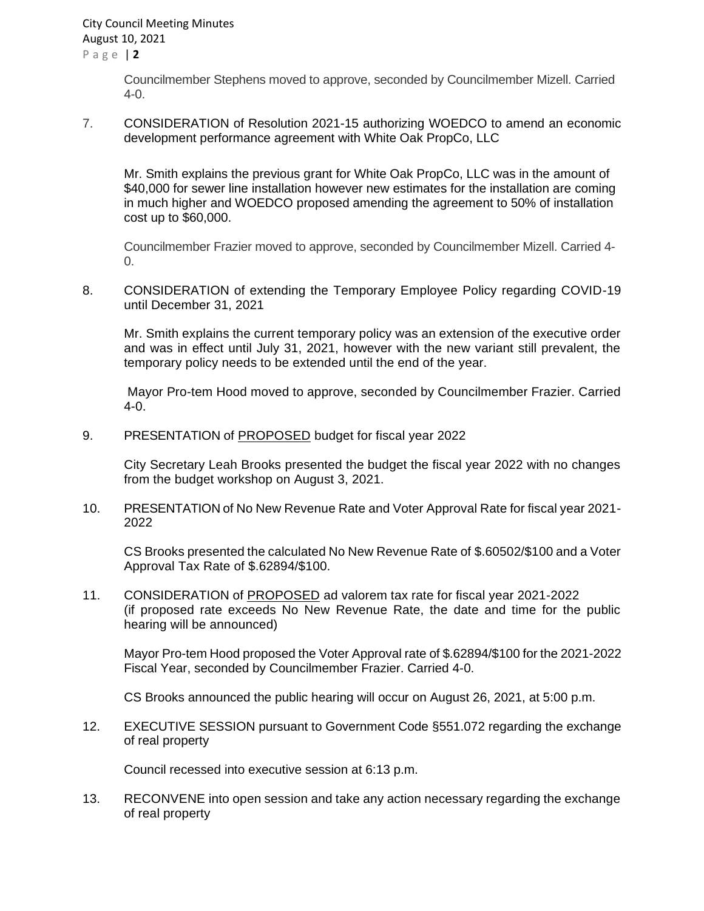Councilmember Stephens moved to approve, seconded by Councilmember Mizell. Carried 4-0.

7. CONSIDERATION of Resolution 2021-15 authorizing WOEDCO to amend an economic development performance agreement with White Oak PropCo, LLC

Mr. Smith explains the previous grant for White Oak PropCo, LLC was in the amount of \$40,000 for sewer line installation however new estimates for the installation are coming in much higher and WOEDCO proposed amending the agreement to 50% of installation cost up to \$60,000.

Councilmember Frazier moved to approve, seconded by Councilmember Mizell. Carried 4-  $\Omega$ .

8. CONSIDERATION of extending the Temporary Employee Policy regarding COVID-19 until December 31, 2021

Mr. Smith explains the current temporary policy was an extension of the executive order and was in effect until July 31, 2021, however with the new variant still prevalent, the temporary policy needs to be extended until the end of the year.

Mayor Pro-tem Hood moved to approve, seconded by Councilmember Frazier. Carried 4-0.

9. PRESENTATION of PROPOSED budget for fiscal year 2022

City Secretary Leah Brooks presented the budget the fiscal year 2022 with no changes from the budget workshop on August 3, 2021.

10. PRESENTATION of No New Revenue Rate and Voter Approval Rate for fiscal year 2021- 2022

CS Brooks presented the calculated No New Revenue Rate of \$.60502/\$100 and a Voter Approval Tax Rate of \$.62894/\$100.

11. CONSIDERATION of PROPOSED ad valorem tax rate for fiscal year 2021-2022 (if proposed rate exceeds No New Revenue Rate, the date and time for the public hearing will be announced)

Mayor Pro-tem Hood proposed the Voter Approval rate of \$.62894/\$100 for the 2021-2022 Fiscal Year, seconded by Councilmember Frazier. Carried 4-0.

CS Brooks announced the public hearing will occur on August 26, 2021, at 5:00 p.m.

12. EXECUTIVE SESSION pursuant to Government Code §551.072 regarding the exchange of real property

Council recessed into executive session at 6:13 p.m.

13. RECONVENE into open session and take any action necessary regarding the exchange of real property